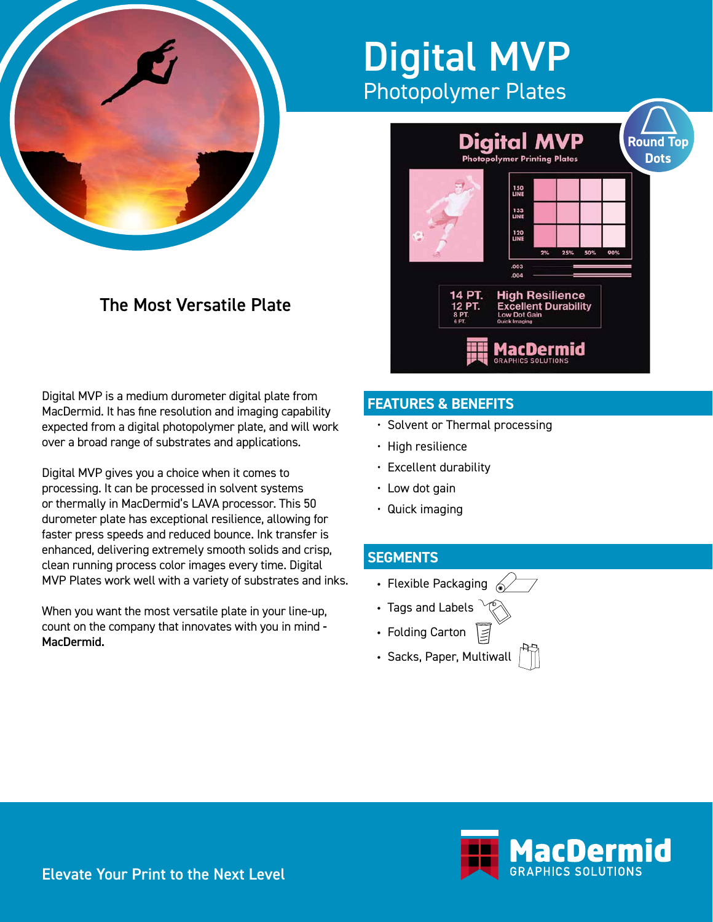

## Digital MVP Photopolymer Plates

## **Digital MVP Round Top Dots** olymer Printing Plates 150<br>UNE 133<br>LINE 120<br>UNE 25% 50%  $.003$  $.004$ **High Resilience Excellent Durability**<br>Low Dot Gain 1acDermid

## The Most Versatile Plate

Digital MVP is a medium durometer digital plate from MacDermid. It has fine resolution and imaging capability expected from a digital photopolymer plate, and will work over a broad range of substrates and applications.

Digital MVP gives you a choice when it comes to processing. It can be processed in solvent systems or thermally in MacDermid's LAVA processor. This 50 durometer plate has exceptional resilience, allowing for faster press speeds and reduced bounce. Ink transfer is enhanced, delivering extremely smooth solids and crisp, clean running process color images every time. Digital MVP Plates work well with a variety of substrates and inks.

When you want the most versatile plate in your line-up, count on the company that innovates with you in mind - MacDermid.

## **FEATURES & BENEFITS**

- Solvent or Thermal processing
- High resilience
- Excellent durability
- Low dot gain
- Quick imaging

## **SEGMENTS**

- Flexible Packaging  $\mathscr{A}$
- Tags and Labels
- Folding Carton
- Sacks, Paper, Multiwall